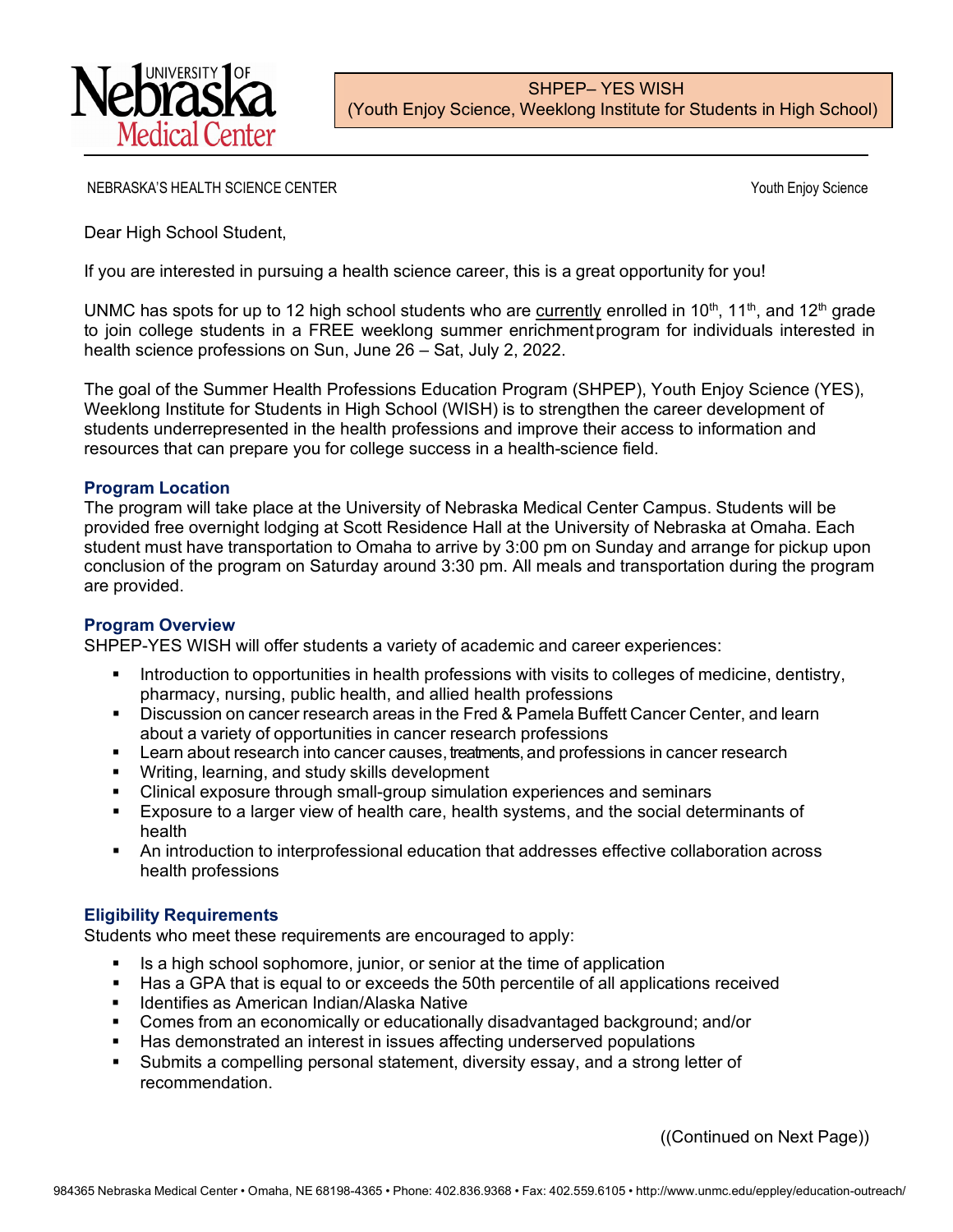

NEBRASKA'S HEALTH SCIENCE CENTER THE SERVICE OF THE SERVICE OF THE SERVICE OF THE SERVICE OF THE SERVICE OF THE SERVICE OF THE SERVICE OF THE SERVICE OF THE SERVICE OF THE SERVICE OF THE SERVICE OF THE SERVICE OF THE SERVI

Dear High School Student,

If you are interested in pursuing a health science career, this is a great opportunity for you!

UNMC has spots for up to 12 high school students who are currently enrolled in 10<sup>th</sup>, 11<sup>th</sup>, and 12<sup>th</sup> grade to join college students in a FREE weeklong summer enrichmentprogram for individuals interested in health science professions on Sun, June 26 – Sat, July 2, 2022.

The goal of the Summer Health Professions Education Program (SHPEP), Youth Enjoy Science (YES), Weeklong Institute for Students in High School (WISH) is to strengthen the career development of students underrepresented in the health professions and improve their access to information and resources that can prepare you for college success in a health-science field.

# **Program Location**

The program will take place at the University of Nebraska Medical Center Campus. Students will be provided free overnight lodging at Scott Residence Hall at the University of Nebraska at Omaha. Each student must have transportation to Omaha to arrive by 3:00 pm on Sunday and arrange for pickup upon conclusion of the program on Saturday around 3:30 pm. All meals and transportation during the program are provided.

### **Program Overview**

SHPEP-YES WISH will offer students a variety of academic and career experiences:

- Introduction to opportunities in health professions with visits to colleges of medicine, dentistry, pharmacy, nursing, public health, and allied health professions
- Discussion on cancer research areas in the Fred & Pamela Buffett Cancer Center, and learn about a variety of opportunities in cancer research professions
- **EXTER 1** Learn about research into cancer causes, treatments, and professions in cancer research
- **Writing, learning, and study skills development**
- Clinical exposure through small-group simulation experiences and seminars
- Exposure to a larger view of health care, health systems, and the social determinants of health
- An introduction to interprofessional education that addresses effective collaboration across health professions

# **Eligibility Requirements**

Students who meet these requirements are encouraged to apply:

- Is a high school sophomore, junior, or senior at the time of application
- Has a GPA that is equal to or exceeds the 50th percentile of all applications received
- Identifies as American Indian/Alaska Native
- Comes from an economically or educationally disadvantaged background; and/or
- Has demonstrated an interest in issues affecting underserved populations
- Submits a compelling personal statement, diversity essay, and a strong letter of recommendation.

((Continued on Next Page))